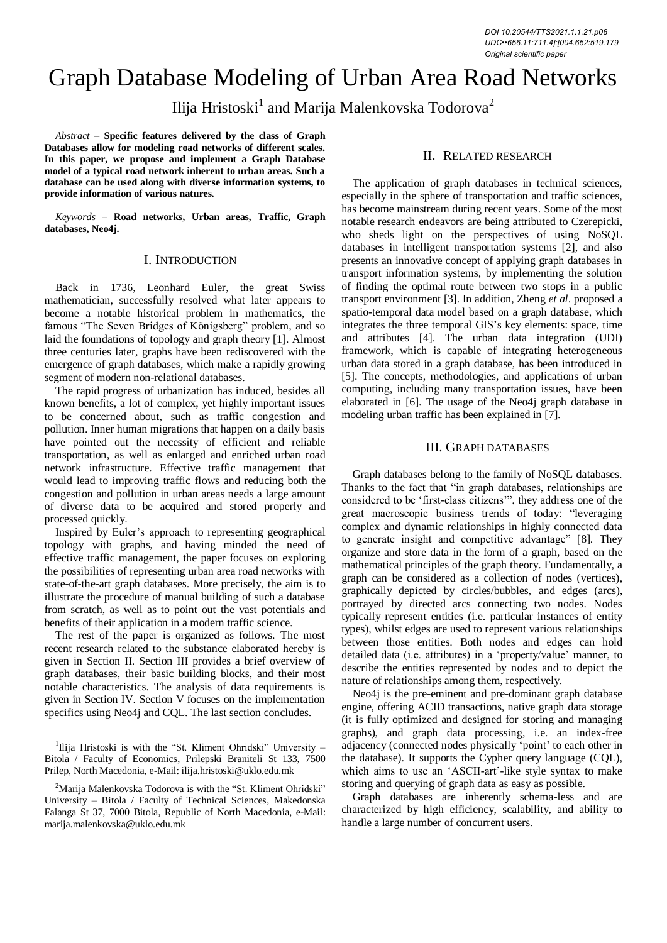# Graph Database Modeling of Urban Area Road Networks

Ilija Hristoski $^{\rm l}$  and Marija Malenkovska Todorova $^{\rm 2}$ 

*Abstract –* **Specific features delivered by the class of Graph Databases allow for modeling road networks of different scales. In this paper, we propose and implement a Graph Database model of a typical road network inherent to urban areas. Such a database can be used along with diverse information systems, to provide information of various natures.**

*Keywords –* **Road networks, Urban areas, Traffic, Graph databases, Neo4j.**

## I. INTRODUCTION

Back in 1736, Leonhard Euler, the great Swiss mathematician, successfully resolved what later appears to become a notable historical problem in mathematics, the famous "The Seven Bridges of Königsberg" problem, and so laid the foundations of topology and graph theory [1]. Almost three centuries later, graphs have been rediscovered with the emergence of graph databases, which make a rapidly growing segment of modern non-relational databases.

The rapid progress of urbanization has induced, besides all known benefits, a lot of complex, yet highly important issues to be concerned about, such as traffic congestion and pollution. Inner human migrations that happen on a daily basis have pointed out the necessity of efficient and reliable transportation, as well as enlarged and enriched urban road network infrastructure. Effective traffic management that would lead to improving traffic flows and reducing both the congestion and pollution in urban areas needs a large amount of diverse data to be acquired and stored properly and processed quickly.

Inspired by Euler's approach to representing geographical topology with graphs, and having minded the need of effective traffic management, the paper focuses on exploring the possibilities of representing urban area road networks with state-of-the-art graph databases. More precisely, the aim is to illustrate the procedure of manual building of such a database from scratch, as well as to point out the vast potentials and benefits of their application in a modern traffic science.

The rest of the paper is organized as follows. The most recent research related to the substance elaborated hereby is given in Section II. Section III provides a brief overview of graph databases, their basic building blocks, and their most notable characteristics. The analysis of data requirements is given in Section IV. Section V focuses on the implementation specifics using Neo4j and CQL. The last section concludes.

<sup>1</sup>Ilija Hristoski is with the "St. Kliment Ohridski" University -Bitola / Faculty of Economics, Prilepski Braniteli St 133, 7500 Prilep, North Macedonia, e-Mail: ilija.hristoski@uklo.edu.mk

<sup>2</sup>Marija Malenkovska Todorova is with the "St. Kliment Ohridski" University – Bitola / Faculty of Technical Sciences, Makedonska Falanga St 37, 7000 Bitola, Republic of North Macedonia, e-Mail: marija.malenkovska@uklo.edu.mk

# II. RELATED RESEARCH

The application of graph databases in technical sciences, especially in the sphere of transportation and traffic sciences, has become mainstream during recent years. Some of the most notable research endeavors are being attributed to Czerepicki, who sheds light on the perspectives of using NoSQL databases in intelligent transportation systems [2], and also presents an innovative concept of applying graph databases in transport information systems, by implementing the solution of finding the optimal route between two stops in a public transport environment [3]. In addition, Zheng *et al*. proposed a spatio-temporal data model based on a graph database, which integrates the three temporal GIS's key elements: space, time and attributes [4]. The urban data integration (UDI) framework, which is capable of integrating heterogeneous urban data stored in a graph database, has been introduced in [5]. The concepts, methodologies, and applications of urban computing, including many transportation issues, have been elaborated in [6]. The usage of the Neo4j graph database in modeling urban traffic has been explained in [7].

## III. GRAPH DATABASES

Graph databases belong to the family of NoSQL databases. Thanks to the fact that "in graph databases, relationships are considered to be 'first-class citizens'", they address one of the great macroscopic business trends of today: "leveraging complex and dynamic relationships in highly connected data to generate insight and competitive advantage" [8]. They organize and store data in the form of a graph, based on the mathematical principles of the graph theory. Fundamentally, a graph can be considered as a collection of nodes (vertices), graphically depicted by circles/bubbles, and edges (arcs), portrayed by directed arcs connecting two nodes. Nodes typically represent entities (i.e. particular instances of entity types), whilst edges are used to represent various relationships between those entities. Both nodes and edges can hold detailed data (i.e. attributes) in a 'property/value' manner, to describe the entities represented by nodes and to depict the nature of relationships among them, respectively.

Neo4j is the pre-eminent and pre-dominant graph database engine, offering ACID transactions, native graph data storage (it is fully optimized and designed for storing and managing graphs), and graph data processing, i.e. an index-free adjacency (connected nodes physically 'point' to each other in the database). It supports the Cypher query language (CQL), which aims to use an 'ASCII-art'-like style syntax to make storing and querying of graph data as easy as possible.

Graph databases are inherently schema-less and are characterized by high efficiency, scalability, and ability to handle a large number of concurrent users.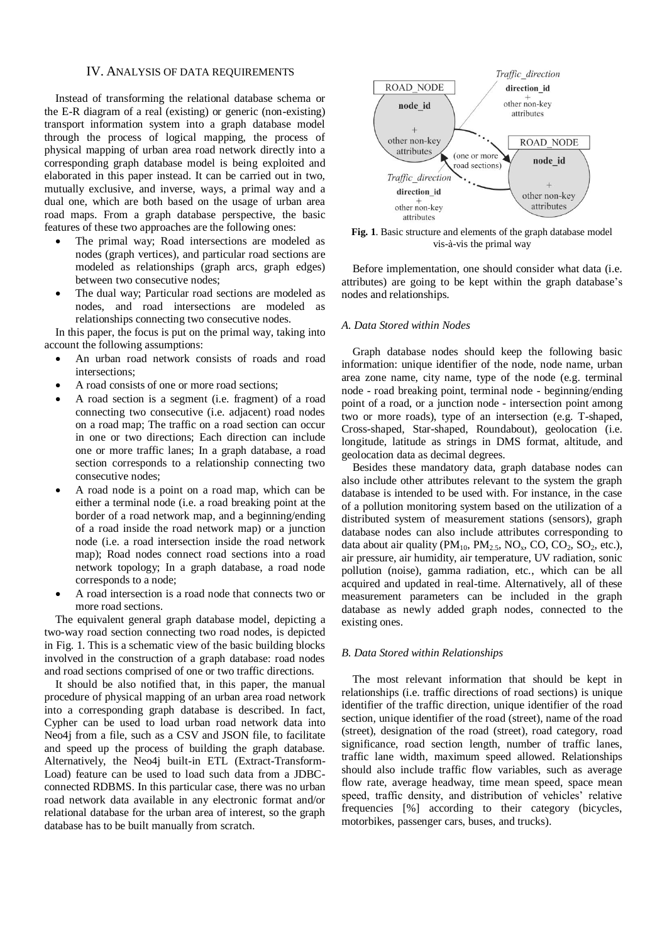## IV. ANALYSIS OF DATA REQUIREMENTS

Instead of transforming the relational database schema or the E-R diagram of a real (existing) or generic (non-existing) transport information system into a graph database model through the process of logical mapping, the process of physical mapping of urban area road network directly into a corresponding graph database model is being exploited and elaborated in this paper instead. It can be carried out in two, mutually exclusive, and inverse, ways, a primal way and a dual one, which are both based on the usage of urban area road maps. From a graph database perspective, the basic features of these two approaches are the following ones:

- The primal way; Road intersections are modeled as nodes (graph vertices), and particular road sections are modeled as relationships (graph arcs, graph edges) between two consecutive nodes;
- The dual way; Particular road sections are modeled as nodes, and road intersections are modeled as relationships connecting two consecutive nodes.

In this paper, the focus is put on the primal way, taking into account the following assumptions:

- An urban road network consists of roads and road intersections;
- A road consists of one or more road sections;
- A road section is a segment (i.e. fragment) of a road connecting two consecutive (i.e. adjacent) road nodes on a road map; The traffic on a road section can occur in one or two directions; Each direction can include one or more traffic lanes; In a graph database, a road section corresponds to a relationship connecting two consecutive nodes;
- A road node is a point on a road map, which can be either a terminal node (i.e. a road breaking point at the border of a road network map, and a beginning/ending of a road inside the road network map) or a junction node (i.e. a road intersection inside the road network map); Road nodes connect road sections into a road network topology; In a graph database, a road node corresponds to a node;
- A road intersection is a road node that connects two or more road sections.

The equivalent general graph database model, depicting a two-way road section connecting two road nodes, is depicted in Fig. 1. This is a schematic view of the basic building blocks involved in the construction of a graph database: road nodes and road sections comprised of one or two traffic directions.

It should be also notified that, in this paper, the manual procedure of physical mapping of an urban area road network into a corresponding graph database is described. In fact, Cypher can be used to load urban road network data into Neo4j from a file, such as a CSV and JSON file, to facilitate and speed up the process of building the graph database. Alternatively, the Neo4j built-in ETL (Extract-Transform-Load) feature can be used to load such data from a JDBCconnected RDBMS. In this particular case, there was no urban road network data available in any electronic format and/or relational database for the urban area of interest, so the graph database has to be built manually from scratch.



**Fig. 1**. Basic structure and elements of the graph database model vis-à-vis the primal way

Before implementation, one should consider what data (i.e. attributes) are going to be kept within the graph database's nodes and relationships.

### *A. Data Stored within Nodes*

Graph database nodes should keep the following basic information: unique identifier of the node, node name, urban area zone name, city name, type of the node (e.g. terminal node - road breaking point, terminal node - beginning/ending point of a road, or a junction node - intersection point among two or more roads), type of an intersection (e.g. T-shaped, Cross-shaped, Star-shaped, Roundabout), geolocation (i.e. longitude, latitude as strings in DMS format, altitude, and geolocation data as decimal degrees.

Besides these mandatory data, graph database nodes can also include other attributes relevant to the system the graph database is intended to be used with. For instance, in the case of a pollution monitoring system based on the utilization of a distributed system of measurement stations (sensors), graph database nodes can also include attributes corresponding to data about air quality ( $PM_{10}$ ,  $PM_{2.5}$ ,  $NO_x$ ,  $CO$ ,  $CO_2$ ,  $SO_2$ , etc.), air pressure, air humidity, air temperature, UV radiation, sonic pollution (noise), gamma radiation, etc., which can be all acquired and updated in real-time. Alternatively, all of these measurement parameters can be included in the graph database as newly added graph nodes, connected to the existing ones.

## *B. Data Stored within Relationships*

The most relevant information that should be kept in relationships (i.e. traffic directions of road sections) is unique identifier of the traffic direction, unique identifier of the road section, unique identifier of the road (street), name of the road (street), designation of the road (street), road category, road significance, road section length, number of traffic lanes, traffic lane width, maximum speed allowed. Relationships should also include traffic flow variables, such as average flow rate, average headway, time mean speed, space mean speed, traffic density, and distribution of vehicles' relative frequencies [%] according to their category (bicycles, motorbikes, passenger cars, buses, and trucks).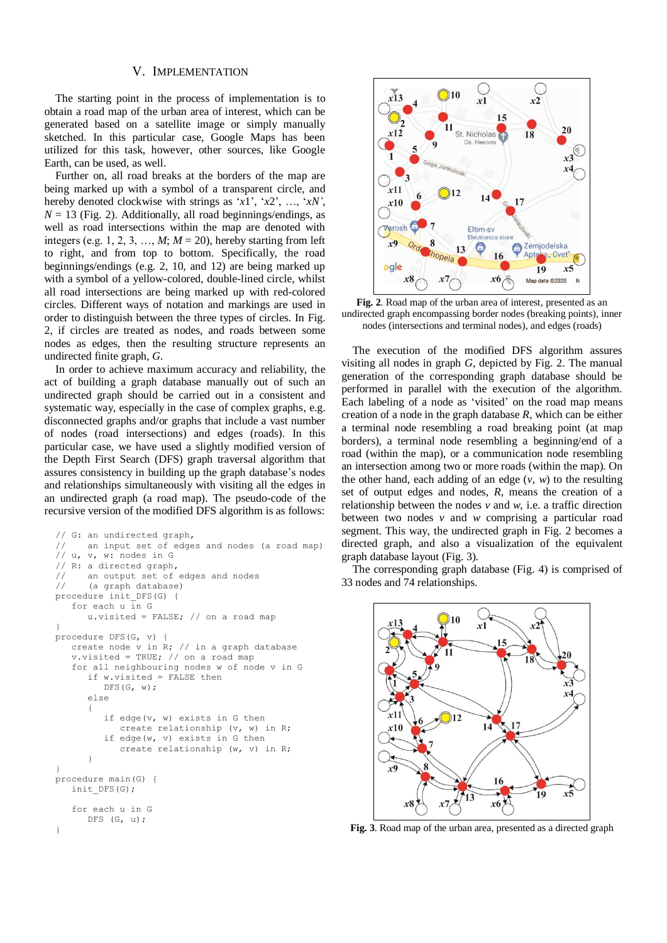## V. IMPLEMENTATION

The starting point in the process of implementation is to obtain a road map of the urban area of interest, which can be generated based on a satellite image or simply manually sketched. In this particular case, Google Maps has been utilized for this task, however, other sources, like Google Earth, can be used, as well.

Further on, all road breaks at the borders of the map are being marked up with a symbol of a transparent circle, and hereby denoted clockwise with strings as '*x*1', '*x*2', …, '*xN'*,  $N = 13$  (Fig. 2). Additionally, all road beginnings/endings, as well as road intersections within the map are denoted with integers (e.g. 1, 2, 3, ...,  $M$ ;  $M = 20$ ), hereby starting from left to right, and from top to bottom. Specifically, the road beginnings/endings (e.g. 2, 10, and 12) are being marked up with a symbol of a yellow-colored, double-lined circle, whilst all road intersections are being marked up with red-colored circles. Different ways of notation and markings are used in order to distinguish between the three types of circles. In Fig. 2, if circles are treated as nodes, and roads between some nodes as edges, then the resulting structure represents an undirected finite graph, *G*.

In order to achieve maximum accuracy and reliability, the act of building a graph database manually out of such an undirected graph should be carried out in a consistent and systematic way, especially in the case of complex graphs, e.g. disconnected graphs and/or graphs that include a vast number of nodes (road intersections) and edges (roads). In this particular case, we have used a slightly modified version of the Depth First Search (DFS) graph traversal algorithm that assures consistency in building up the graph database's nodes and relationships simultaneously with visiting all the edges in an undirected graph (a road map). The pseudo-code of the recursive version of the modified DFS algorithm is as follows:

```
// G: an undirected graph, 
// an input set of edges and nodes (a road map)
// u, v, w: nodes in G
// R: a directed graph, 
// an output set of edges and nodes
      (a graph database)
procedure init_DFS(G) {
    for each u in G
      u.visited = FALSE; // on a road map
}
procedure DFS(G, v) {
    create node v in R; // in a graph database
   v.visited = TRUE; // on a road map
    for all neighbouring nodes w of node v in G
       if w.visited = FALSE then
         DFS(G, w); else
\overline{\phantom{a}} if edge(v, w) exists in G then
             create relationship (v, w) in R;
          if edge(w, v) exists in G then
             create relationship (w, v) in R;
 }
}
procedure main(G) {
   init_DFS(G);
    for each u in G
       DFS (G, u);
}
```


**Fig. 2**. Road map of the urban area of interest, presented as an undirected graph encompassing border nodes (breaking points), inner nodes (intersections and terminal nodes), and edges (roads)

The execution of the modified DFS algorithm assures visiting all nodes in graph *G*, depicted by Fig. 2. The manual generation of the corresponding graph database should be performed in parallel with the execution of the algorithm. Each labeling of a node as 'visited' on the road map means creation of a node in the graph database *R*, which can be either a terminal node resembling a road breaking point (at map borders), a terminal node resembling a beginning/end of a road (within the map), or a communication node resembling an intersection among two or more roads (within the map). On the other hand, each adding of an edge  $(v, w)$  to the resulting set of output edges and nodes, *R*, means the creation of a relationship between the nodes *v* and *w*, i.e. a traffic direction between two nodes *v* and *w* comprising a particular road segment. This way, the undirected graph in Fig. 2 becomes a directed graph, and also a visualization of the equivalent graph database layout (Fig. 3).

The corresponding graph database (Fig. 4) is comprised of 33 nodes and 74 relationships.



**Fig. 3**. Road map of the urban area, presented as a directed graph